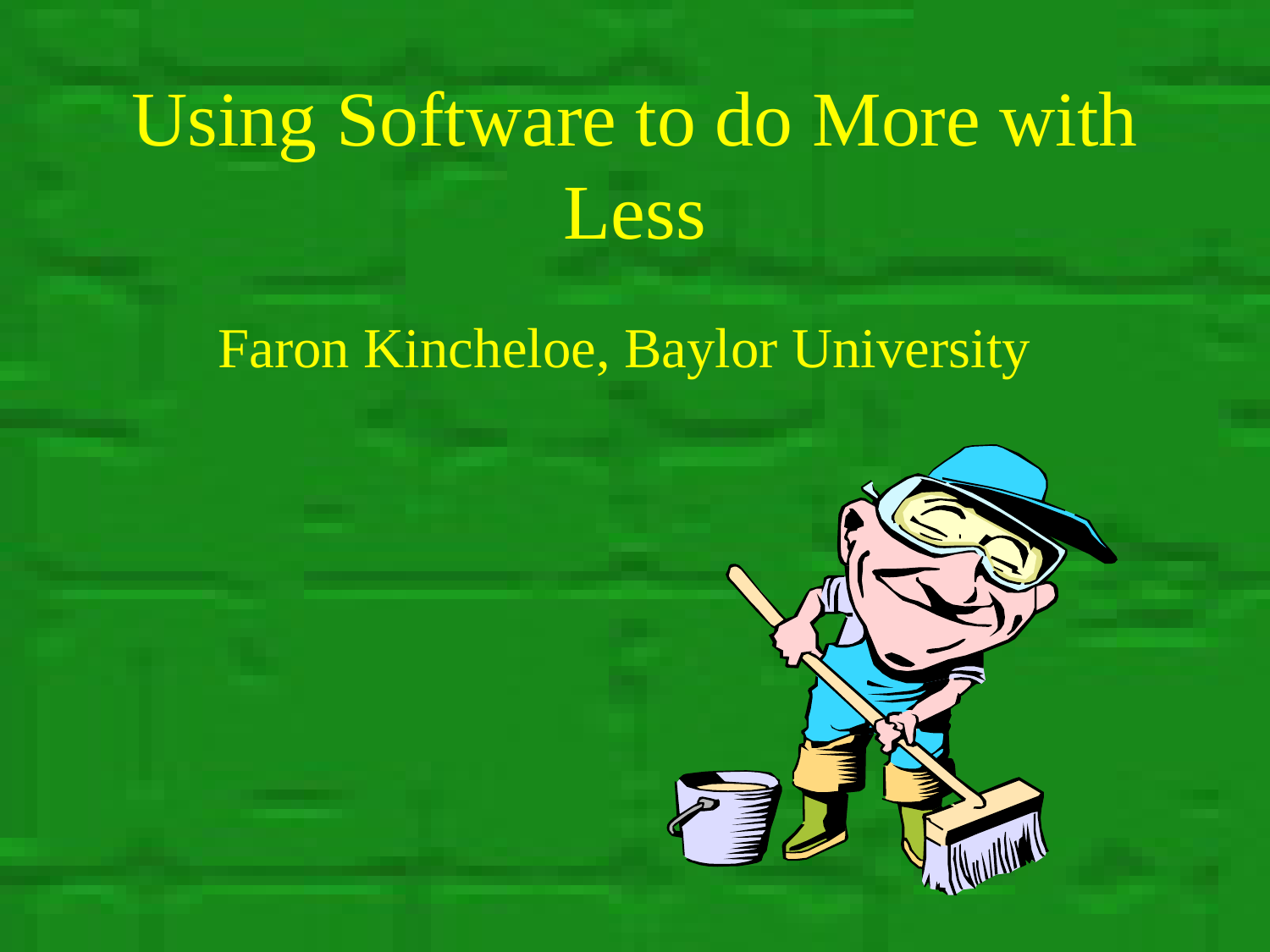# Using Software to do More with Less

#### Faron Kincheloe, Baylor University

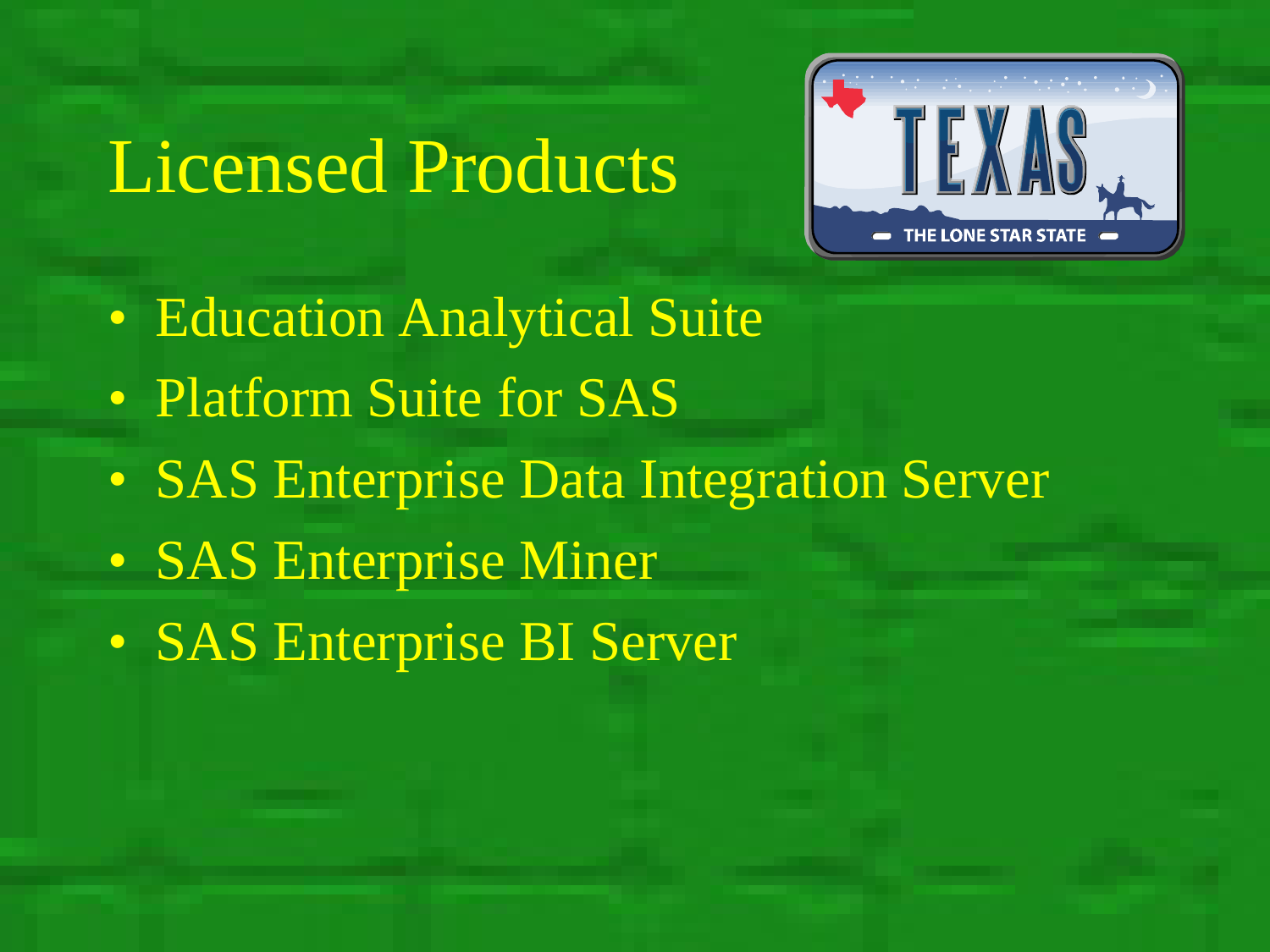## Licensed Products



- Education Analytical Suite
- Platform Suite for SAS
- SAS Enterprise Data Integration Server
- SAS Enterprise Miner
- SAS Enterprise BI Server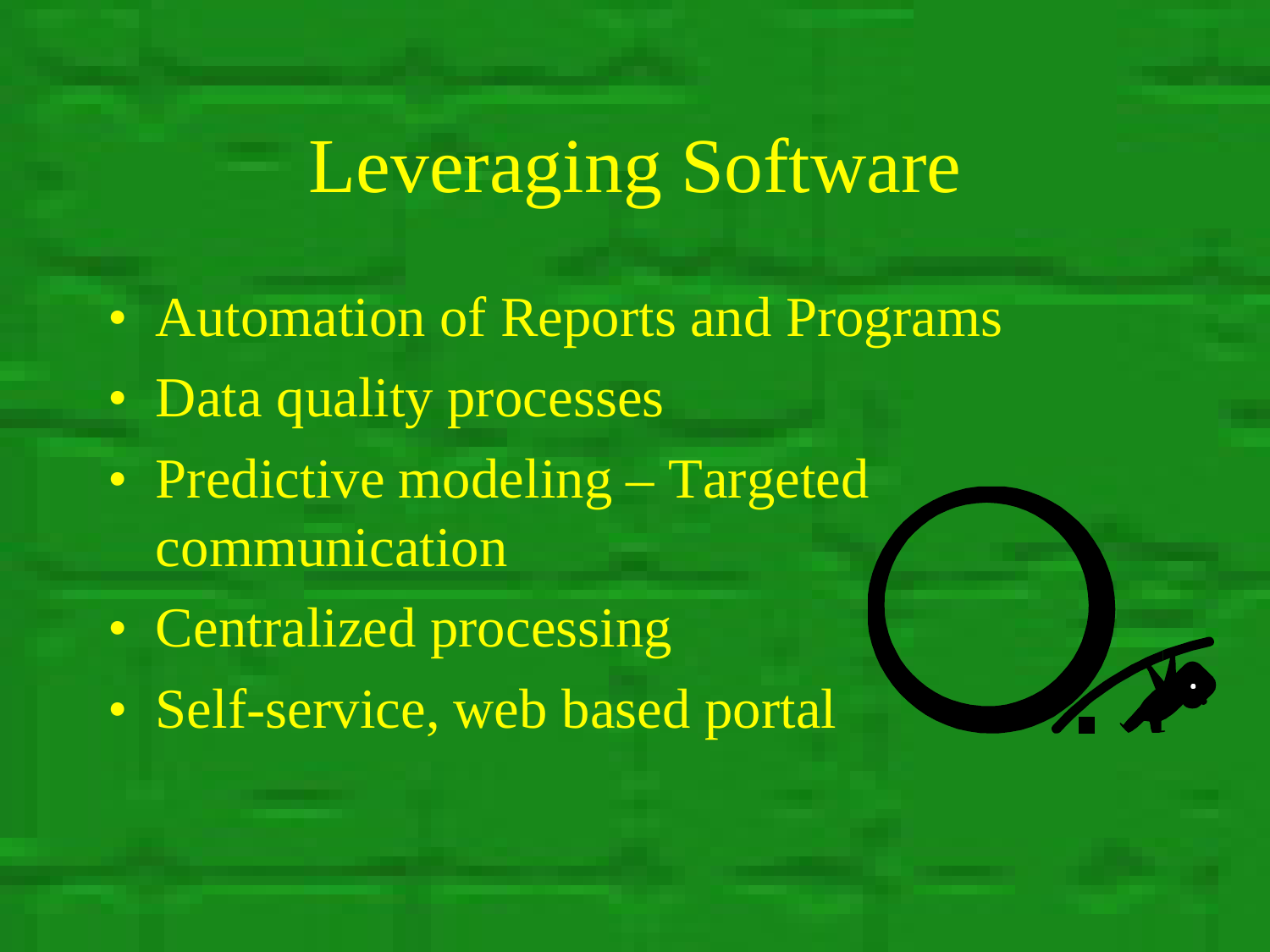- Automation of Reports and Programs
- Data quality processes
- Predictive modeling Targeted communication
- Centralized processing
- Self-service, web based portal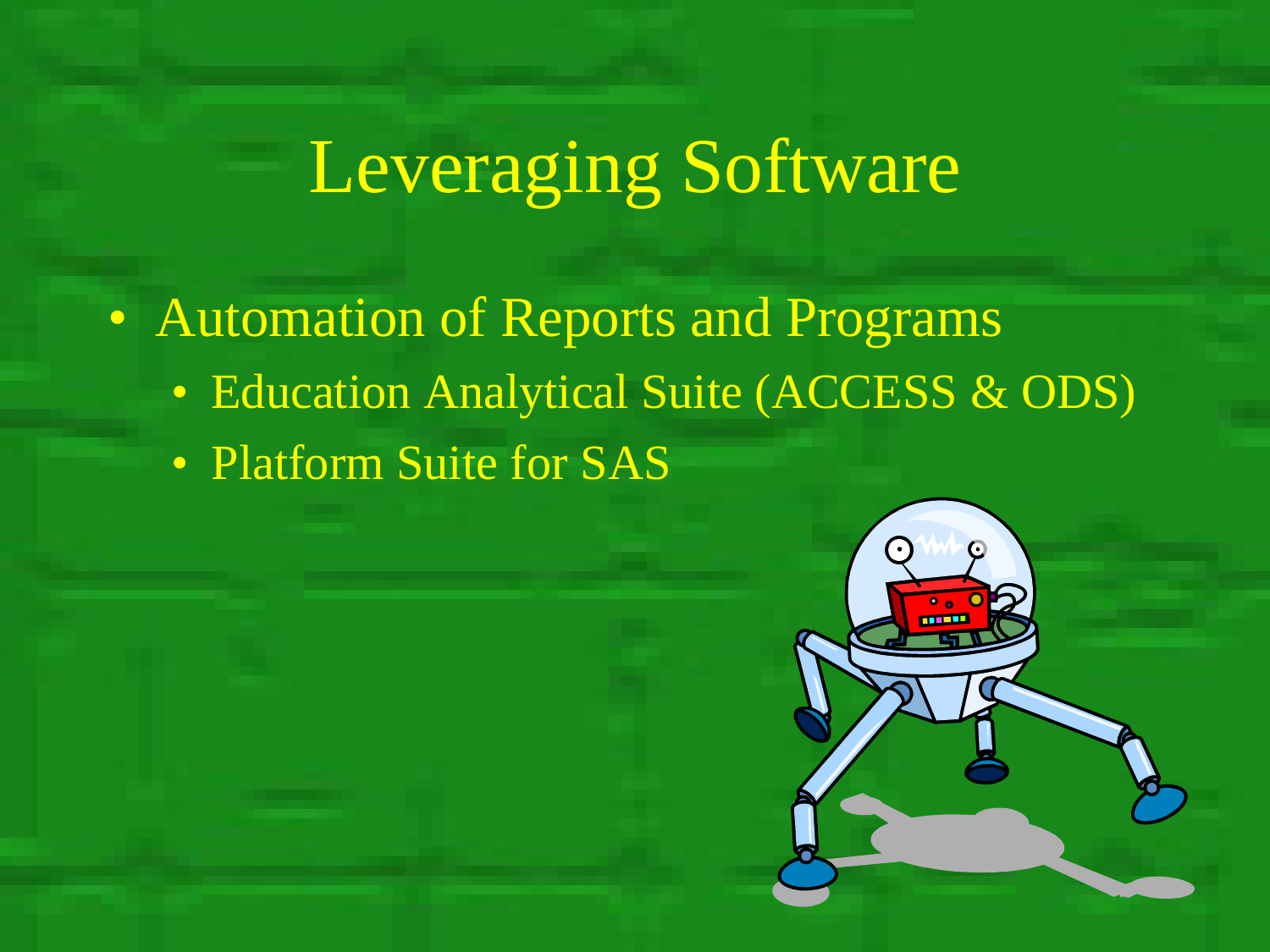• Automation of Reports and Programs

- Education Analytical Suite (ACCESS & ODS)
- Platform Suite for SAS

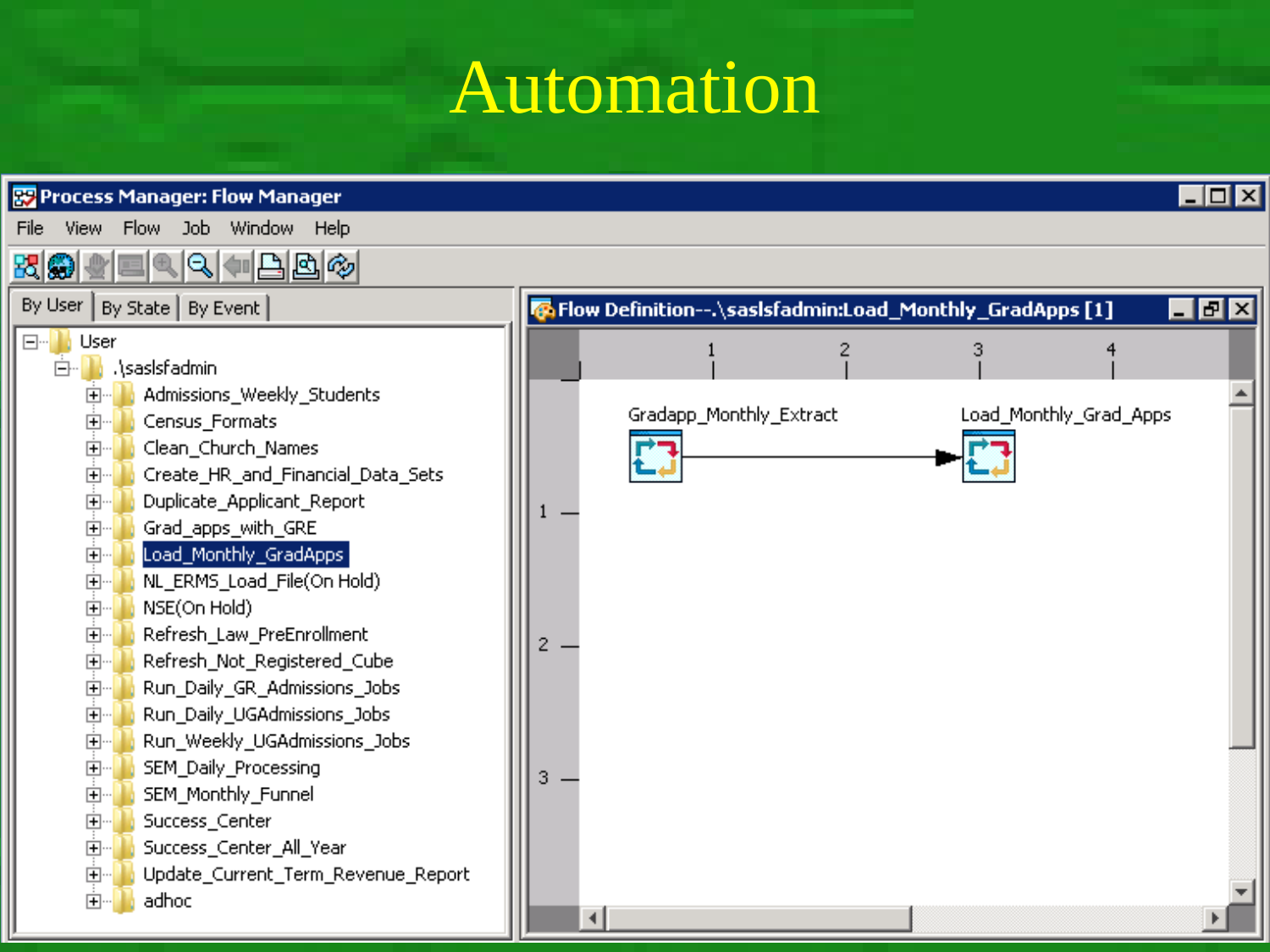## Automation

| $\Box$ d $\boxtimes$<br>Process Manager: Flow Manager |                                    |   |                                                         |                        |                           |  |  |  |  |  |
|-------------------------------------------------------|------------------------------------|---|---------------------------------------------------------|------------------------|---------------------------|--|--|--|--|--|
| File<br>View                                          | Flow<br><b>Job</b><br>Window Help  |   |                                                         |                        |                           |  |  |  |  |  |
| ₹Ø<br>日回ゆ<br>IΘι                                      |                                    |   |                                                         |                        |                           |  |  |  |  |  |
|                                                       | By User   By State   By Event      |   | Fow Definition--.\sasIsfadmin:Load_Monthly_GradApps [1] |                        | $\blacksquare$ e $\times$ |  |  |  |  |  |
| $\boxdot$<br>User                                     |                                    |   |                                                         |                        |                           |  |  |  |  |  |
| .\saslsfadmin<br>Ėŀ                                   |                                    |   |                                                         |                        |                           |  |  |  |  |  |
| $\overline{+}$                                        | Admissions_Weekly_Students         |   |                                                         |                        |                           |  |  |  |  |  |
| Ėŀ                                                    | Census_Formats                     |   | Gradapp_Monthly_Extract                                 | Load_Monthly_Grad_Apps |                           |  |  |  |  |  |
| 由                                                     | Clean_Church_Names                 |   |                                                         |                        |                           |  |  |  |  |  |
| Ė                                                     | Create_HR_and_Financial_Data_Sets  |   |                                                         |                        |                           |  |  |  |  |  |
| Ė                                                     | Duplicate_Applicant_Report         |   |                                                         |                        |                           |  |  |  |  |  |
| Ė                                                     | Grad_apps_with_GRE                 |   |                                                         |                        |                           |  |  |  |  |  |
| 中                                                     | Load_Monthly_GradApps              |   |                                                         |                        |                           |  |  |  |  |  |
| Ėŀ                                                    | NL_ERMS_Load_File(On Hold)         |   |                                                         |                        |                           |  |  |  |  |  |
| Ėŀ                                                    | NSE(On Hold)                       |   |                                                         |                        |                           |  |  |  |  |  |
| Ėŀ                                                    | Refresh_Law_PreEnrollment          | 2 |                                                         |                        |                           |  |  |  |  |  |
| Ė                                                     | Refresh_Not_Registered_Cube        |   |                                                         |                        |                           |  |  |  |  |  |
| Ėŀ                                                    | Run_Daily_GR_Admissions_Jobs       |   |                                                         |                        |                           |  |  |  |  |  |
| Ėŀ                                                    | Run_Daily_UGAdmissions_Jobs        |   |                                                         |                        |                           |  |  |  |  |  |
| Ė                                                     | Run_Weekly_UGAdmissions_Jobs       |   |                                                         |                        |                           |  |  |  |  |  |
| Ė                                                     | SEM_Daily_Processing               | 3 |                                                         |                        |                           |  |  |  |  |  |
| Ėŀ                                                    | SEM_Monthly_Funnel                 |   |                                                         |                        |                           |  |  |  |  |  |
| Ėŀ                                                    | Success_Center                     |   |                                                         |                        |                           |  |  |  |  |  |
| Ė                                                     | Success_Center_All_Year            |   |                                                         |                        |                           |  |  |  |  |  |
| 由                                                     | Update_Current_Term_Revenue_Report |   |                                                         |                        |                           |  |  |  |  |  |
| adhoc<br>Ė                                            |                                    | ∢ |                                                         |                        |                           |  |  |  |  |  |
|                                                       |                                    |   |                                                         |                        |                           |  |  |  |  |  |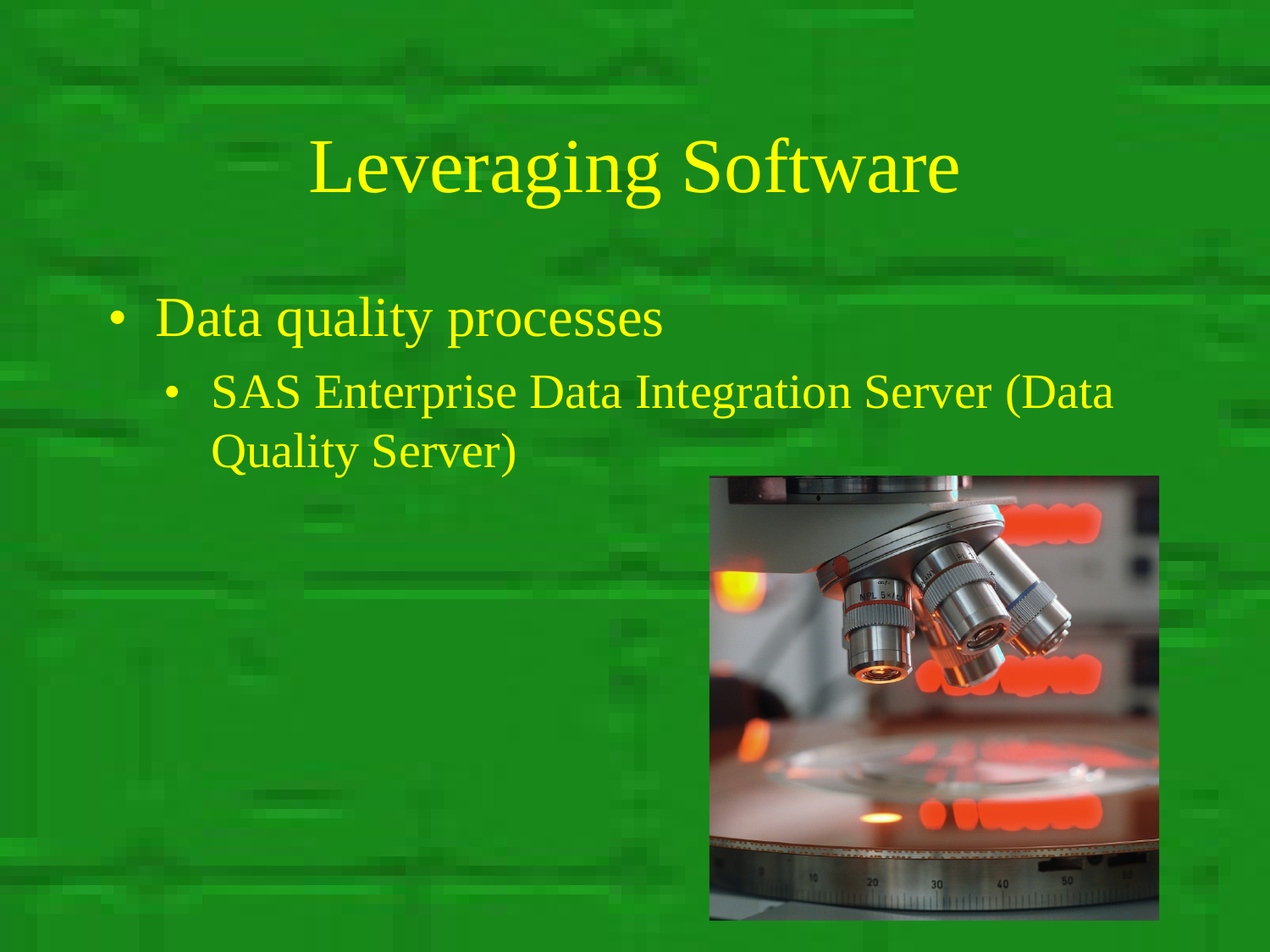• Data quality processes

• SAS Enterprise Data Integration Server (Data Quality Server)

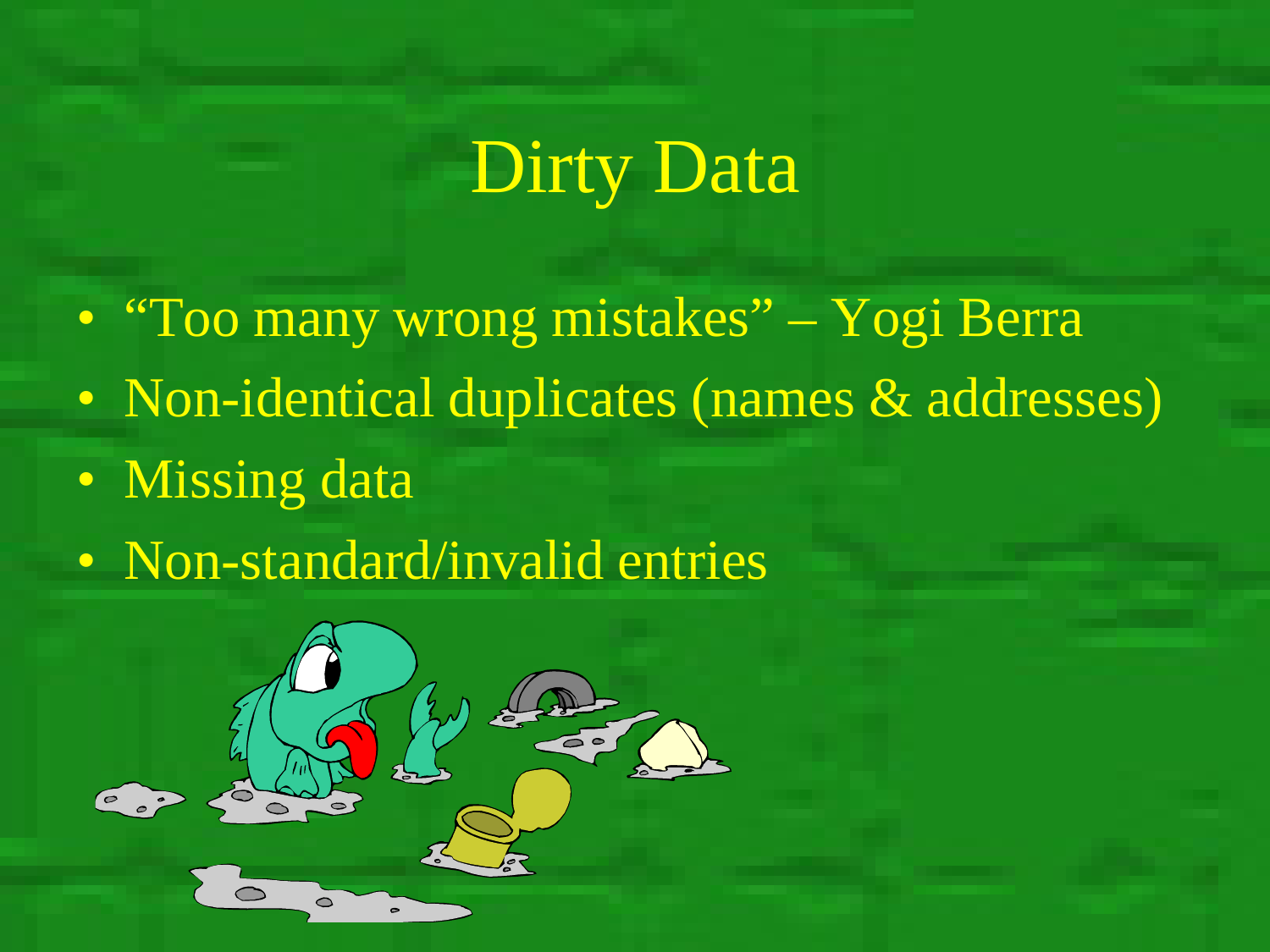## Dirty Data

- "Too many wrong mistakes" Yogi Berra
- Non-identical duplicates (names & addresses)
- Missing data
- Non-standard/invalid entries

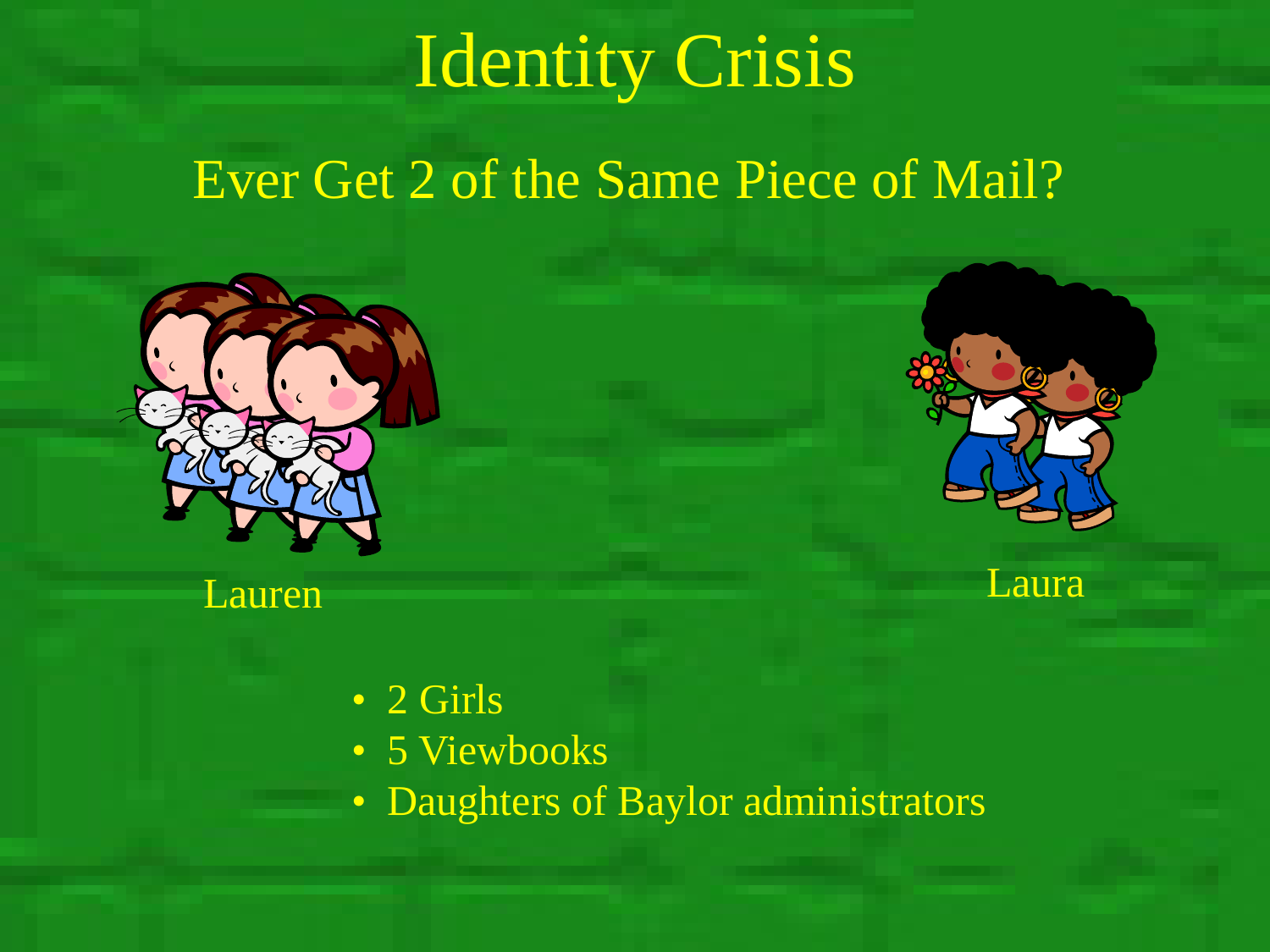## Identity Crisis

#### Ever Get 2 of the Same Piece of Mail?





Lauren Laura bereit der Laura bereit der Laura

- 2 Girls
- 5 Viewbooks
- Daughters of Baylor administrators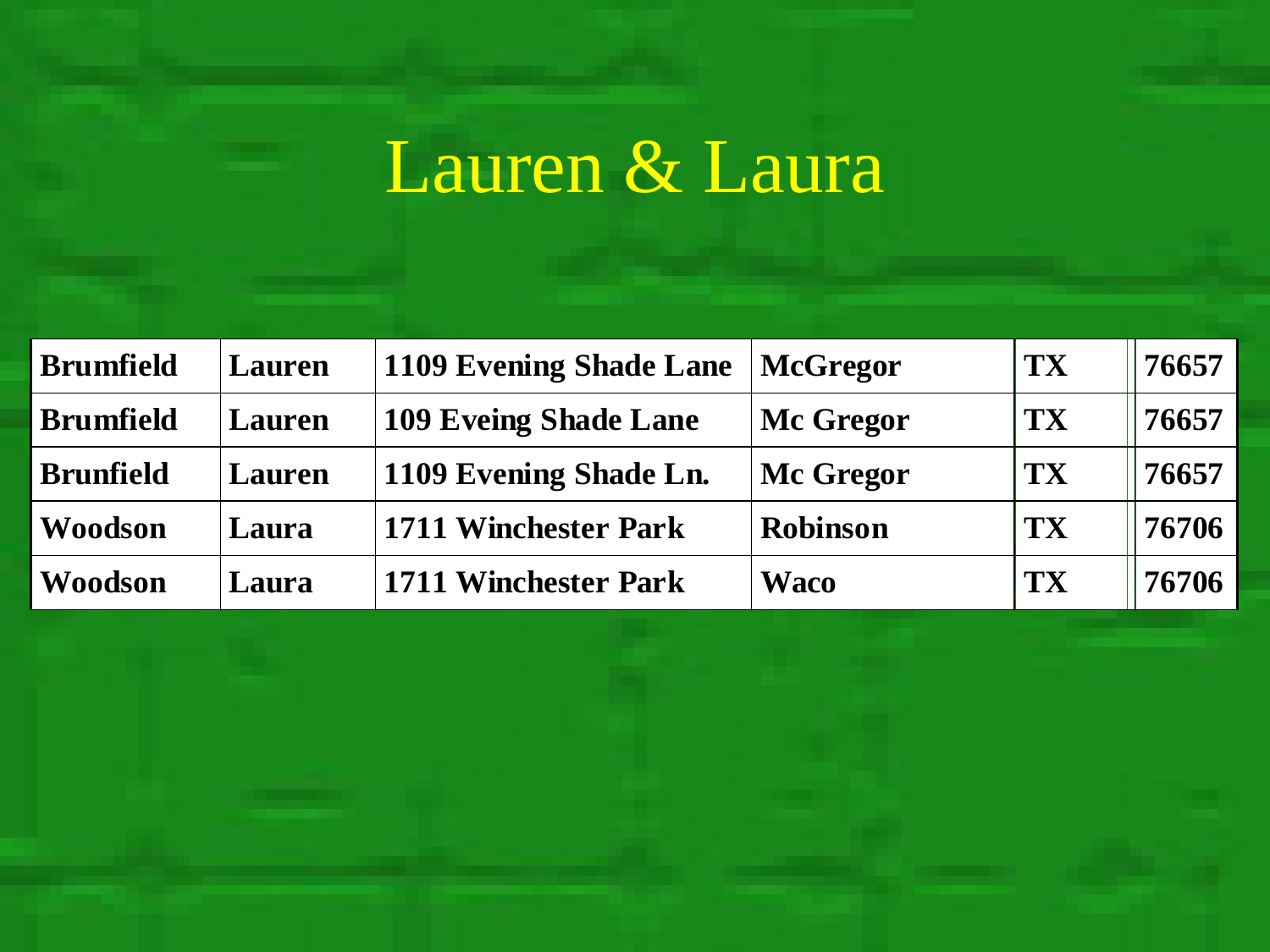# Lauren & Laura

| <b>Brumfield</b> | <b>Lauren</b> | <b>1109 Evening Shade Lane</b> | <b>McGregor</b> | <b>TX</b> | 76657 |
|------------------|---------------|--------------------------------|-----------------|-----------|-------|
| <b>Brumfield</b> | <b>Lauren</b> | <b>109 Eveing Shade Lane</b>   | Mc Gregor       | TX        | 76657 |
| <b>Brunfield</b> | <b>Lauren</b> | 1109 Evening Shade Ln.         | Mc Gregor       | <b>TX</b> | 76657 |
| <b>Woodson</b>   | Laura         | <b>1711 Winchester Park</b>    | <b>Robinson</b> | <b>TX</b> | 76706 |
| Woodson          | Laura         | 1711 Winchester Park           | <b>Waco</b>     | <b>TX</b> | 76706 |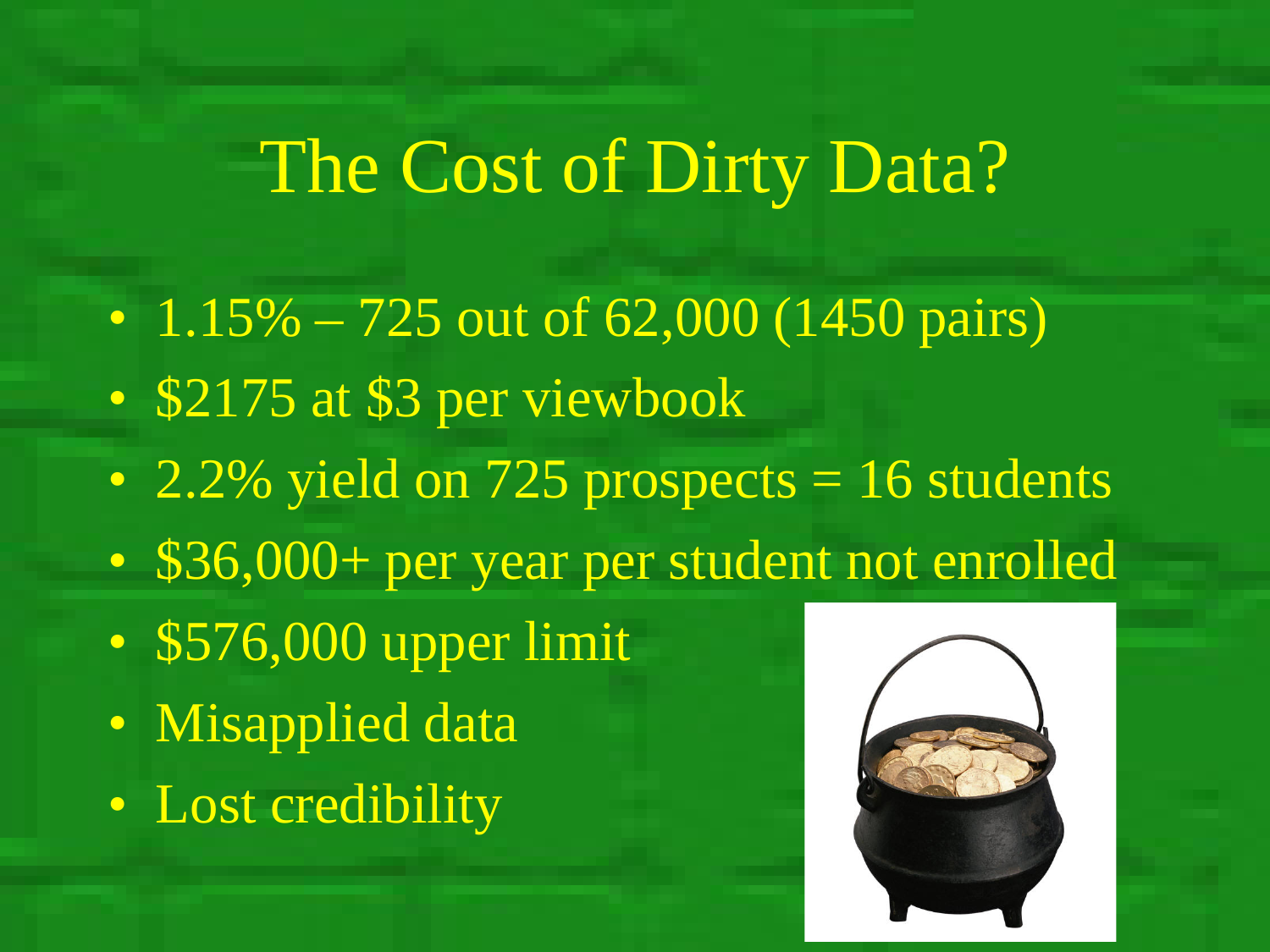#### The Cost of Dirty Data?

- 1.15% 725 out of 62,000 (1450 pairs)
- \$2175 at \$3 per viewbook
- 2.2% yield on 725 prospects  $= 16$  students
- \$36,000+ per year per student not enrolled
- \$576,000 upper limit
- Misapplied data
- Lost credibility

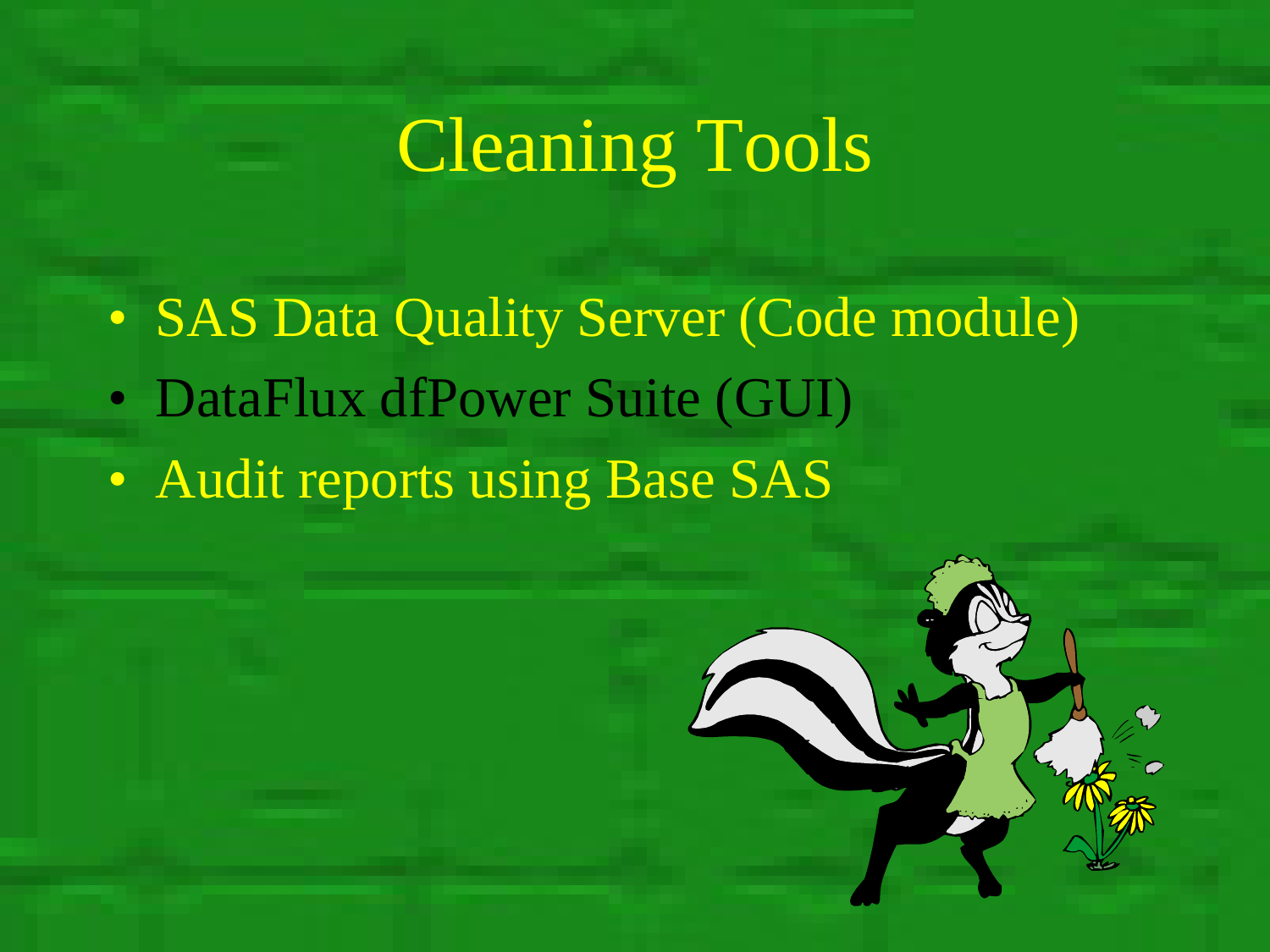# Cleaning Tools

- SAS Data Quality Server (Code module)
- DataFlux dfPower Suite (GUI)
- Audit reports using Base SAS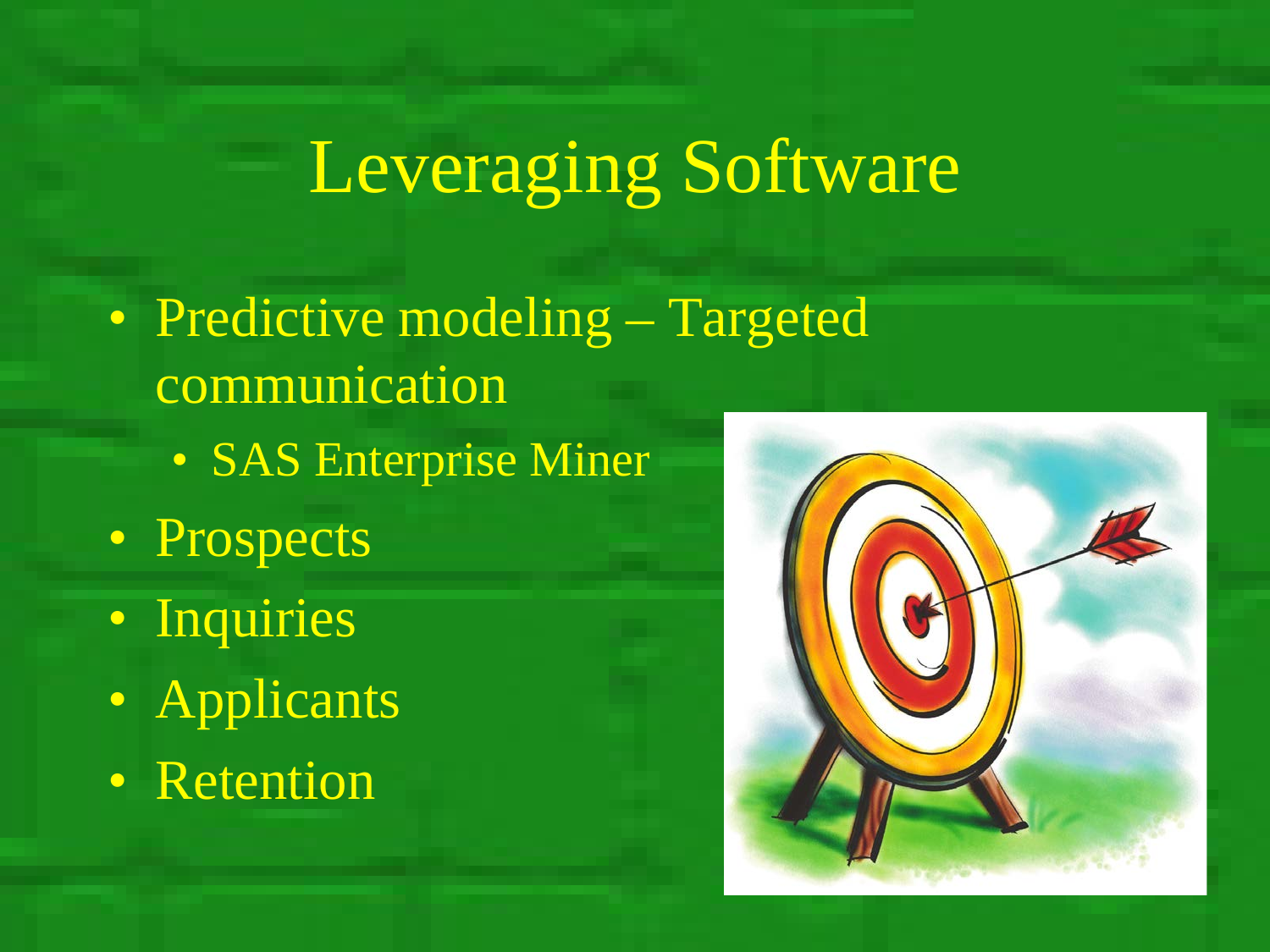- Predictive modeling Targeted communication
	- SAS Enterprise Miner
- Prospects
- Inquiries
- Applicants
- Retention

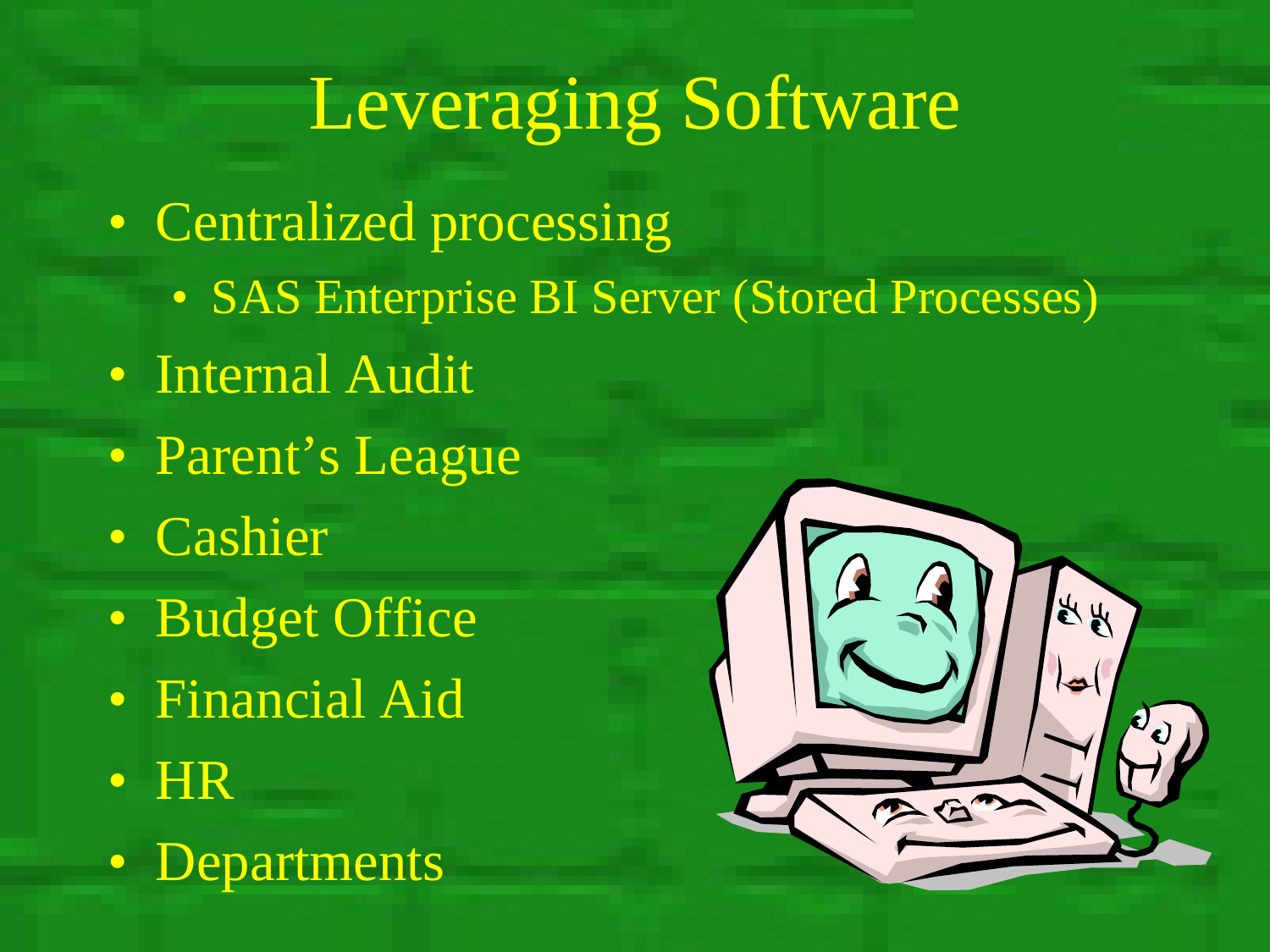- Centralized processing
	- SAS Enterprise BI Server (Stored Processes)
- Internal Audit
- Parent's League
- Cashier
- Budget Office
- Financial Aid
- HR
- Departments

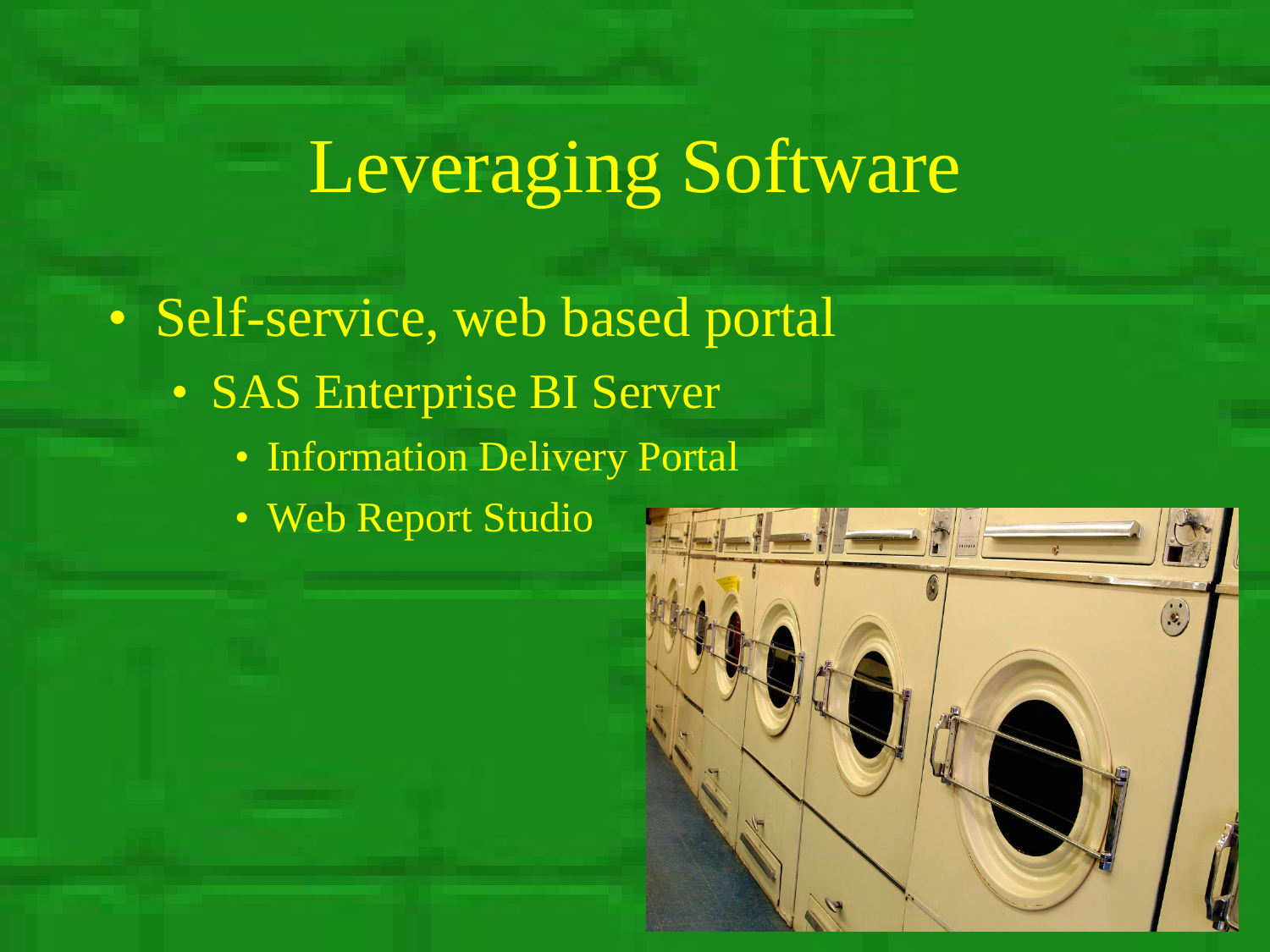• Self-service, web based portal

- SAS Enterprise BI Server
	- Information Delivery Portal
	- Web Report Studio

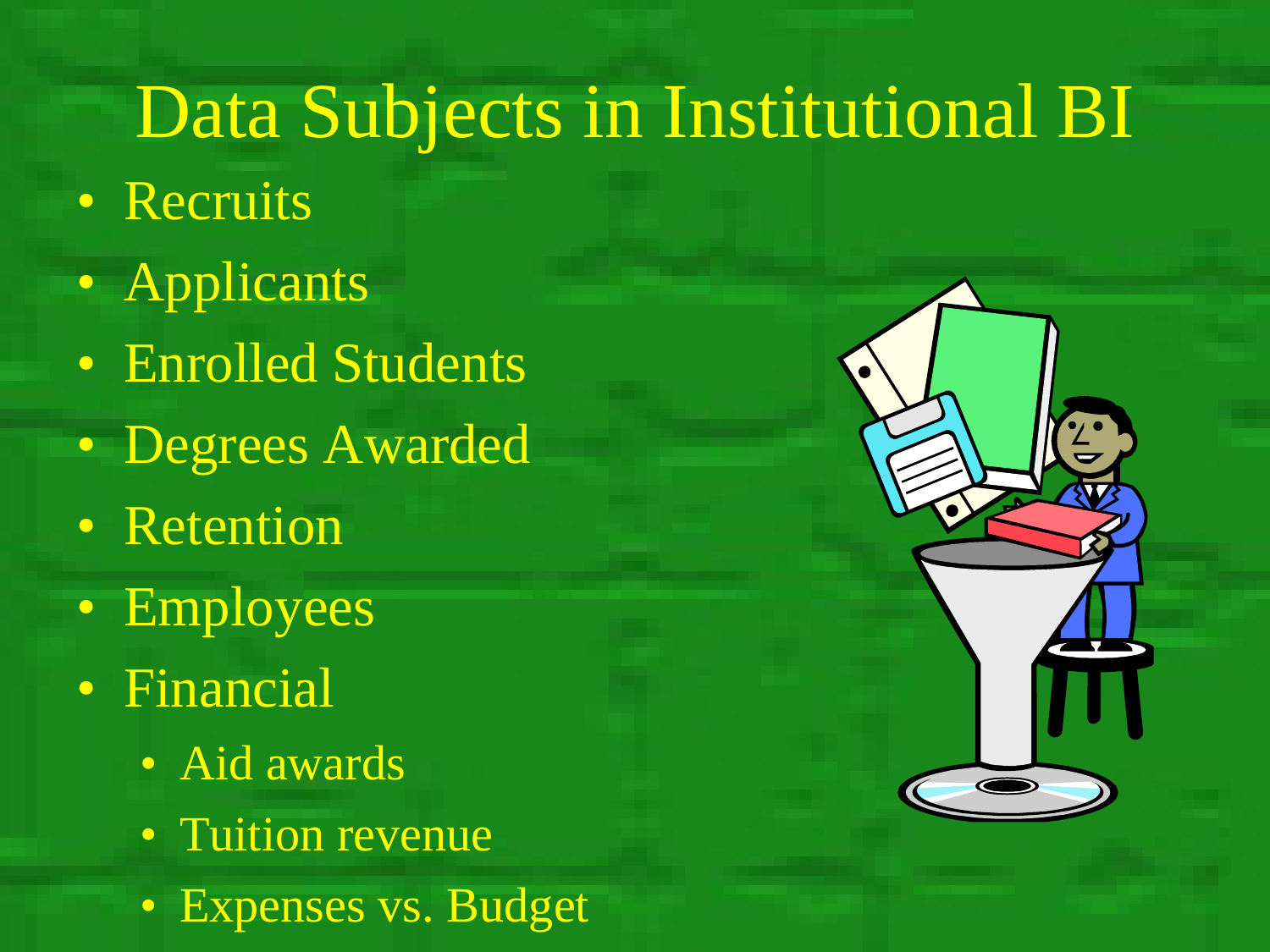## Data Subjects in Institutional BI

- Recruits
- Applicants
- Enrolled Students
- Degrees Awarded
- Retention
- Employees
- Financial
	- Aid awards
	- Tuition revenue
	- Expenses vs. Budget

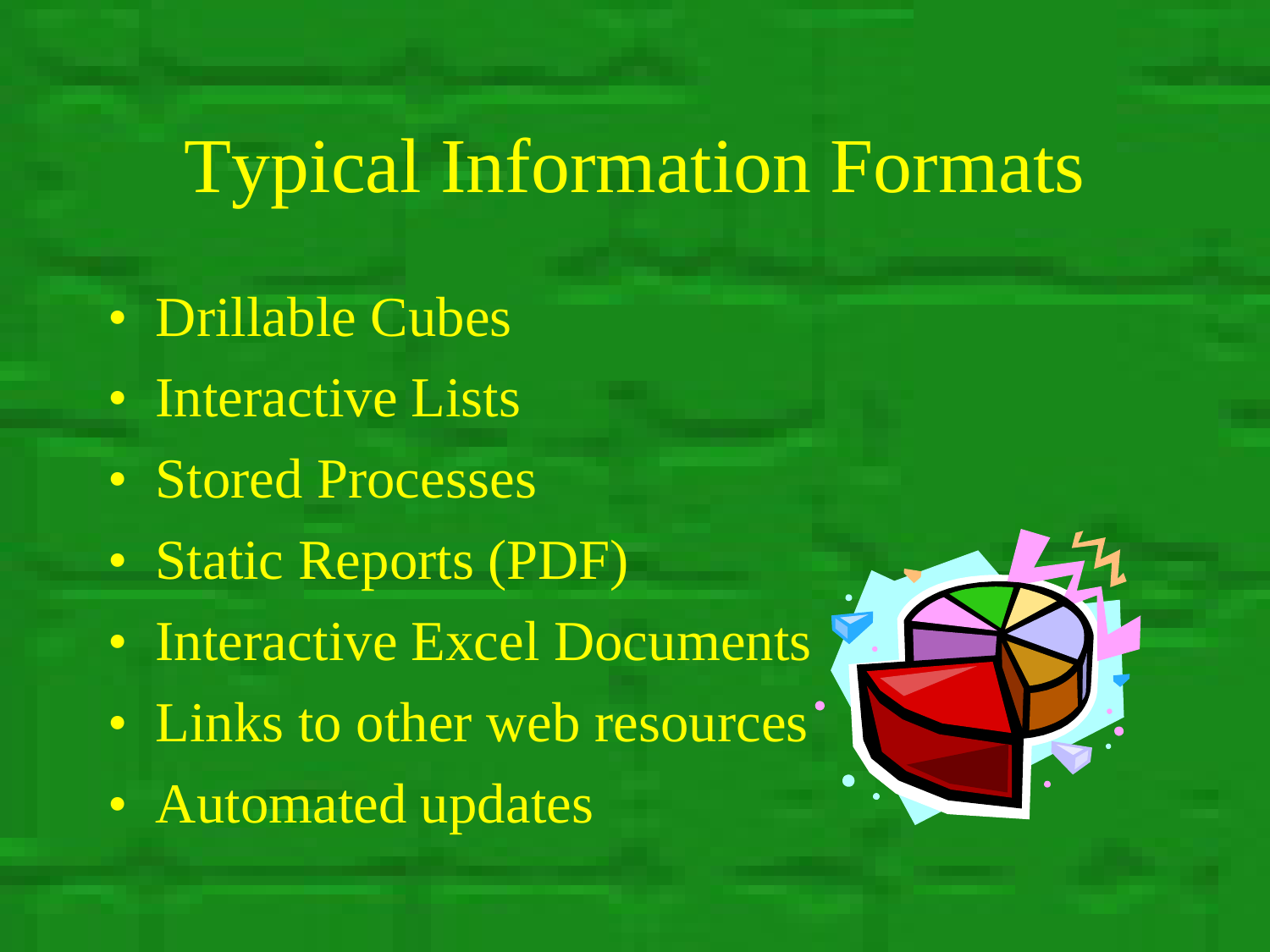## Typical Information Formats

- Drillable Cubes
- Interactive Lists
- Stored Processes
- Static Reports (PDF)
- Interactive Excel Documents
- Links to other web resources'
- Automated updates

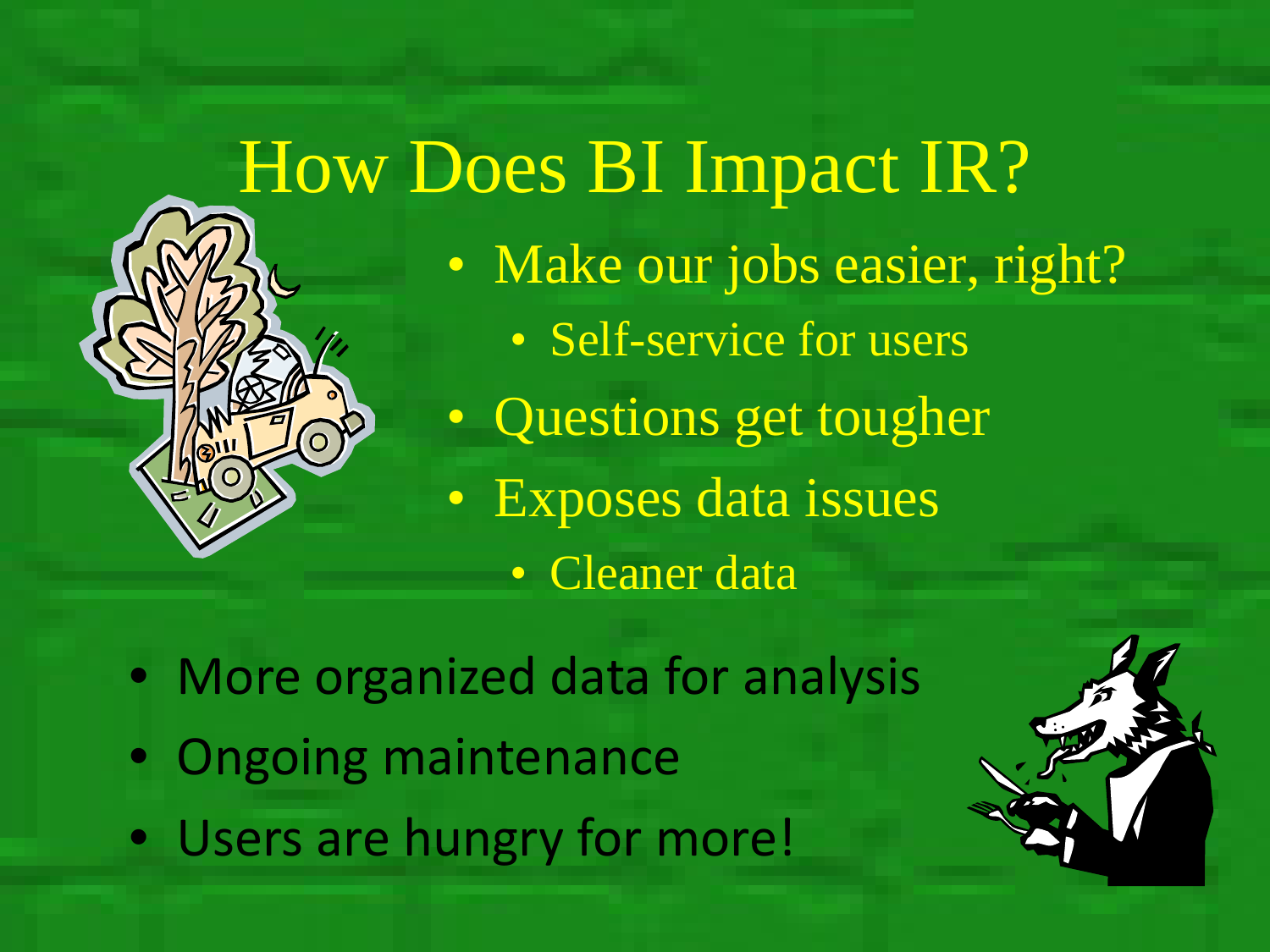

How Does BI Impact IR? • Make our jobs easier, right? • Self-service for users • Questions get tougher

- Exposes data issues
	- Cleaner data

• More organized data for analysis

- Ongoing maintenance
- Users are hungry for more!